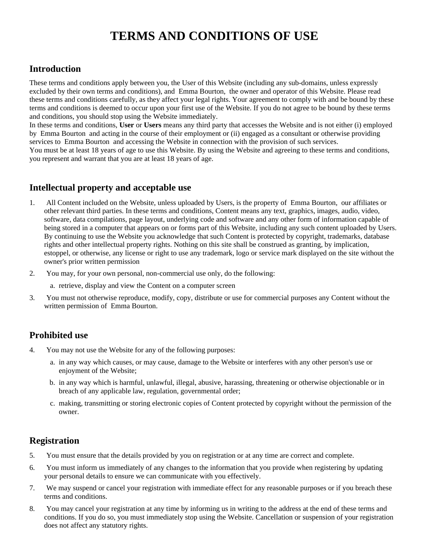# **TERMS AND CONDITIONS OF USE**

# **Introduction**

These terms and conditions apply between you, the User of this Website (including any sub-domains, unless expressly excluded by their own terms and conditions), and Emma Bourton, the owner and operator of this Website. Please read these terms and conditions carefully, as they affect your legal rights. Your agreement to comply with and be bound by these terms and conditions is deemed to occur upon your first use of the Website. If you do not agree to be bound by these terms and conditions, you should stop using the Website immediately.

In these terms and conditions, **User** or **Users** means any third party that accesses the Website and is not either (i) employed by Emma Bourton and acting in the course of their employment or (ii) engaged as a consultant or otherwise providing services to Emma Bourton and accessing the Website in connection with the provision of such services.

You must be at least 18 years of age to use this Website. By using the Website and agreeing to these terms and conditions, you represent and warrant that you are at least 18 years of age.

# **Intellectual property and acceptable use**

- 1. All Content included on the Website, unless uploaded by Users, is the property of Emma Bourton, our affiliates or other relevant third parties. In these terms and conditions, Content means any text, graphics, images, audio, video, software, data compilations, page layout, underlying code and software and any other form of information capable of being stored in a computer that appears on or forms part of this Website, including any such content uploaded by Users. By continuing to use the Website you acknowledge that such Content is protected by copyright, trademarks, database rights and other intellectual property rights. Nothing on this site shall be construed as granting, by implication, estoppel, or otherwise, any license or right to use any trademark, logo or service mark displayed on the site without the owner's prior written permission
- 2. You may, for your own personal, non-commercial use only, do the following:
	- a. retrieve, display and view the Content on a computer screen
- 3. You must not otherwise reproduce, modify, copy, distribute or use for commercial purposes any Content without the written permission of Emma Bourton.

# **Prohibited use**

- 4. You may not use the Website for any of the following purposes:
	- a. in any way which causes, or may cause, damage to the Website or interferes with any other person's use or enjoyment of the Website;
	- b. in any way which is harmful, unlawful, illegal, abusive, harassing, threatening or otherwise objectionable or in breach of any applicable law, regulation, governmental order;
	- c. making, transmitting or storing electronic copies of Content protected by copyright without the permission of the owner.

# **Registration**

- 5. You must ensure that the details provided by you on registration or at any time are correct and complete.
- 6. You must inform us immediately of any changes to the information that you provide when registering by updating your personal details to ensure we can communicate with you effectively.
- 7. We may suspend or cancel your registration with immediate effect for any reasonable purposes or if you breach these terms and conditions.
- 8. You may cancel your registration at any time by informing us in writing to the address at the end of these terms and conditions. If you do so, you must immediately stop using the Website. Cancellation or suspension of your registration does not affect any statutory rights.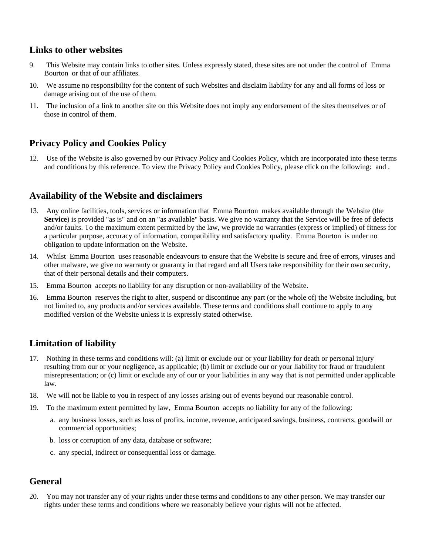#### **Links to other websites**

- 9. This Website may contain links to other sites. Unless expressly stated, these sites are not under the control of Emma Bourton or that of our affiliates.
- 10. We assume no responsibility for the content of such Websites and disclaim liability for any and all forms of loss or damage arising out of the use of them.
- 11. The inclusion of a link to another site on this Website does not imply any endorsement of the sites themselves or of those in control of them.

#### **Privacy Policy and Cookies Policy**

12. Use of the Website is also governed by our Privacy Policy and Cookies Policy, which are incorporated into these terms and conditions by this reference. To view the Privacy Policy and Cookies Policy, please click on the following: and .

#### **Availability of the Website and disclaimers**

- 13. Any online facilities, tools, services or information that Emma Bourton makes available through the Website (the **Service**) is provided "as is" and on an "as available" basis. We give no warranty that the Service will be free of defects and/or faults. To the maximum extent permitted by the law, we provide no warranties (express or implied) of fitness for a particular purpose, accuracy of information, compatibility and satisfactory quality. Emma Bourton is under no obligation to update information on the Website.
- 14. Whilst Emma Bourton uses reasonable endeavours to ensure that the Website is secure and free of errors, viruses and other malware, we give no warranty or guaranty in that regard and all Users take responsibility for their own security, that of their personal details and their computers.
- 15. Emma Bourton accepts no liability for any disruption or non-availability of the Website.
- 16. Emma Bourton reserves the right to alter, suspend or discontinue any part (or the whole of) the Website including, but not limited to, any products and/or services available. These terms and conditions shall continue to apply to any modified version of the Website unless it is expressly stated otherwise.

# **Limitation of liability**

- 17. Nothing in these terms and conditions will: (a) limit or exclude our or your liability for death or personal injury resulting from our or your negligence, as applicable; (b) limit or exclude our or your liability for fraud or fraudulent misrepresentation; or (c) limit or exclude any of our or your liabilities in any way that is not permitted under applicable law.
- 18. We will not be liable to you in respect of any losses arising out of events beyond our reasonable control.
- 19. To the maximum extent permitted by law, Emma Bourton accepts no liability for any of the following:
	- a. any business losses, such as loss of profits, income, revenue, anticipated savings, business, contracts, goodwill or commercial opportunities;
	- b. loss or corruption of any data, database or software;
	- c. any special, indirect or consequential loss or damage.

#### **General**

20. You may not transfer any of your rights under these terms and conditions to any other person. We may transfer our rights under these terms and conditions where we reasonably believe your rights will not be affected.